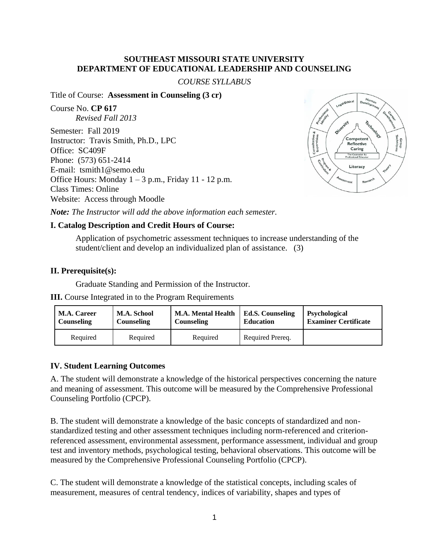### **SOUTHEAST MISSOURI STATE UNIVERSITY DEPARTMENT OF EDUCATIONAL LEADERSHIP AND COUNSELING**

#### *COURSE SYLLABUS*

#### Title of Course: **Assessment in Counseling (3 cr)**

Course No. **CP 617** *Revised Fall 2013* Semester: Fall 2019 Instructor: Travis Smith, Ph.D., LPC Office: SC409F

Phone: (573) 651-2414 E-mail: tsmith1@semo.edu Office Hours: Monday  $1 - 3$  p.m., Friday 11 - 12 p.m. Class Times: Online Website: Access through Moodle



*Note: The Instructor will add the above information each semester.*

### **I. Catalog Description and Credit Hours of Course:**

Application of psychometric assessment techniques to increase understanding of the student/client and develop an individualized plan of assistance. (3)

#### **II. Prerequisite(s):**

Graduate Standing and Permission of the Instructor.

**III.** Course Integrated in to the Program Requirements

| <b>M.A. Career</b> | <b>M.A. School</b> | <b>M.A. Mental Health</b> | <b>Ed.S. Counseling</b> | <b>Psychological</b>        |
|--------------------|--------------------|---------------------------|-------------------------|-----------------------------|
| Counseling         | Counseling         | <b>Counseling</b>         | <b>Education</b>        | <b>Examiner Certificate</b> |
| Required           | Required           | Required                  | Required Prereq.        |                             |

### **IV. Student Learning Outcomes**

A. The student will demonstrate a knowledge of the historical perspectives concerning the nature and meaning of assessment. This outcome will be measured by the Comprehensive Professional Counseling Portfolio (CPCP).

B. The student will demonstrate a knowledge of the basic concepts of standardized and nonstandardized testing and other assessment techniques including norm-referenced and criterionreferenced assessment, environmental assessment, performance assessment, individual and group test and inventory methods, psychological testing, behavioral observations. This outcome will be measured by the Comprehensive Professional Counseling Portfolio (CPCP).

C. The student will demonstrate a knowledge of the statistical concepts, including scales of measurement, measures of central tendency, indices of variability, shapes and types of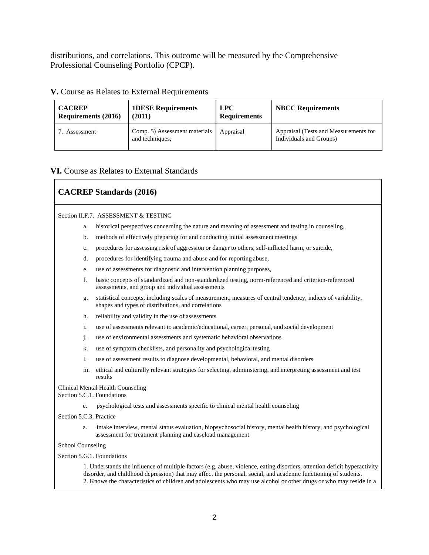distributions, and correlations. This outcome will be measured by the Comprehensive Professional Counseling Portfolio (CPCP).

| <b>CACREP</b>              | <b>1DESE Requirements</b>                        | <b>LPC</b>          | <b>NBCC Requirements</b>                                         |
|----------------------------|--------------------------------------------------|---------------------|------------------------------------------------------------------|
| <b>Requirements (2016)</b> | (2011)                                           | <b>Requirements</b> |                                                                  |
| Assessment                 | Comp. 5) Assessment materials<br>and techniques; | Appraisal           | Appraisal (Tests and Measurements for<br>Individuals and Groups) |

#### **V.** Course as Relates to External Requirements

#### **VI.** Course as Relates to External Standards

# **CACREP Standards (2016)**

#### Section II.F.7. ASSESSMENT & TESTING

- a. historical perspectives concerning the nature and meaning of assessment and testing in counseling,
- b. methods of effectively preparing for and conducting initial assessment meetings
- c. procedures for assessing risk of aggression or danger to others, self-inflicted harm, or suicide,
- d. procedures for identifying trauma and abuse and for reporting abuse,
- e. use of assessments for diagnostic and intervention planning purposes,
- f. basic concepts of standardized and non-standardized testing, norm-referenced and criterion-referenced assessments, and group and individual assessments
- g. statistical concepts, including scales of measurement, measures of central tendency, indices of variability, shapes and types of distributions, and correlations
- h. reliability and validity in the use of assessments
- i. use of assessments relevant to academic/educational, career, personal, and social development
- j. use of environmental assessments and systematic behavioral observations
- k. use of symptom checklists, and personality and psychological testing
- l. use of assessment results to diagnose developmental, behavioral, and mental disorders
- m. ethical and culturally relevant strategies for selecting, administering, and interpreting assessment and test results

#### Clinical Mental Health Counseling

Section 5.C.1. Foundations

e. psychological tests and assessments specific to clinical mental health counseling

#### Section 5.C.3. Practice

a. intake interview, mental status evaluation, biopsychosocial history, mental health history, and psychological assessment for treatment planning and caseload management

#### School Counseling

#### Section 5.G.1. Foundations

1. Understands the influence of multiple factors (e.g. abuse, violence, eating disorders, attention deficit hyperactivity disorder, and childhood depression) that may affect the personal, social, and academic functioning of students. 2. Knows the characteristics of children and adolescents who may use alcohol or other drugs or who may reside in a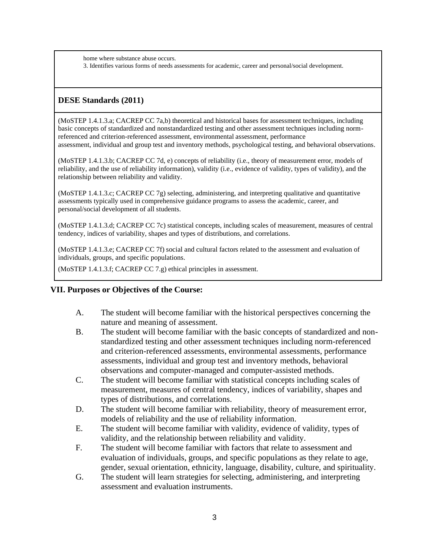home where substance abuse occurs. 3. Identifies various forms of needs assessments for academic, career and personal/social development.

# **DESE Standards (2011)**

(MoSTEP 1.4.1.3.a; CACREP CC 7a,b) theoretical and historical bases for assessment techniques, including basic concepts of standardized and nonstandardized testing and other assessment techniques including normreferenced and criterion-referenced assessment, environmental assessment, performance assessment, individual and group test and inventory methods, psychological testing, and behavioral observations.

(MoSTEP 1.4.1.3.b; CACREP CC 7d, e) concepts of reliability (i.e., theory of measurement error, models of reliability, and the use of reliability information), validity (i.e., evidence of validity, types of validity), and the relationship between reliability and validity.

(MoSTEP 1.4.1.3.c; CACREP CC 7g) selecting, administering, and interpreting qualitative and quantitative assessments typically used in comprehensive guidance programs to assess the academic, career, and personal/social development of all students.

(MoSTEP 1.4.1.3.d; CACREP CC 7c) statistical concepts, including scales of measurement, measures of central tendency, indices of variability, shapes and types of distributions, and correlations.

(MoSTEP 1.4.1.3.e; CACREP CC 7f) social and cultural factors related to the assessment and evaluation of individuals, groups, and specific populations.

(MoSTEP 1.4.1.3.f; CACREP CC 7.g) ethical principles in assessment.

### **VII. Purposes or Objectives of the Course:**

- A. The student will become familiar with the historical perspectives concerning the nature and meaning of assessment.
- B. The student will become familiar with the basic concepts of standardized and nonstandardized testing and other assessment techniques including norm-referenced and criterion-referenced assessments, environmental assessments, performance assessments, individual and group test and inventory methods, behavioral observations and computer-managed and computer-assisted methods.
- C. The student will become familiar with statistical concepts including scales of measurement, measures of central tendency, indices of variability, shapes and types of distributions, and correlations.
- D. The student will become familiar with reliability, theory of measurement error, models of reliability and the use of reliability information.
- E. The student will become familiar with validity, evidence of validity, types of validity, and the relationship between reliability and validity.
- F. The student will become familiar with factors that relate to assessment and evaluation of individuals, groups, and specific populations as they relate to age, gender, sexual orientation, ethnicity, language, disability, culture, and spirituality.
- G. The student will learn strategies for selecting, administering, and interpreting assessment and evaluation instruments.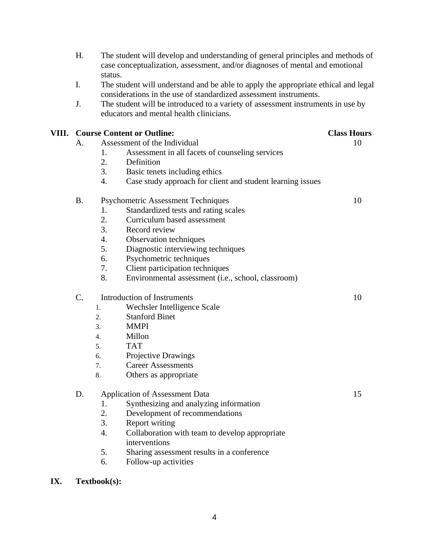| Η.                                      | The student will develop and understanding of general principles and methods of<br>case conceptualization, assessment, and/or diagnoses of mental and emotional<br>status.                                                                                                            |                                                                 |    |  |  |  |
|-----------------------------------------|---------------------------------------------------------------------------------------------------------------------------------------------------------------------------------------------------------------------------------------------------------------------------------------|-----------------------------------------------------------------|----|--|--|--|
| I.                                      | The student will understand and be able to apply the appropriate ethical and legal<br>considerations in the use of standardized assessment instruments.<br>The student will be introduced to a variety of assessment instruments in use by<br>educators and mental health clinicians. |                                                                 |    |  |  |  |
| J.                                      |                                                                                                                                                                                                                                                                                       |                                                                 |    |  |  |  |
| <b>VIII.</b> Course Content or Outline: |                                                                                                                                                                                                                                                                                       | <b>Class Hours</b>                                              |    |  |  |  |
| А.                                      | Assessment of the Individual                                                                                                                                                                                                                                                          |                                                                 | 10 |  |  |  |
|                                         | 1.                                                                                                                                                                                                                                                                                    | Assessment in all facets of counseling services                 |    |  |  |  |
|                                         | 2.                                                                                                                                                                                                                                                                                    | Definition                                                      |    |  |  |  |
|                                         | 3.                                                                                                                                                                                                                                                                                    | Basic tenets including ethics                                   |    |  |  |  |
|                                         | 4.                                                                                                                                                                                                                                                                                    | Case study approach for client and student learning issues      |    |  |  |  |
| <b>B.</b>                               |                                                                                                                                                                                                                                                                                       | <b>Psychometric Assessment Techniques</b>                       | 10 |  |  |  |
|                                         | 1.                                                                                                                                                                                                                                                                                    | Standardized tests and rating scales                            |    |  |  |  |
|                                         | 2.                                                                                                                                                                                                                                                                                    | Curriculum based assessment                                     |    |  |  |  |
|                                         | 3.                                                                                                                                                                                                                                                                                    | Record review                                                   |    |  |  |  |
|                                         | 4.                                                                                                                                                                                                                                                                                    | Observation techniques                                          |    |  |  |  |
|                                         | 5.                                                                                                                                                                                                                                                                                    | Diagnostic interviewing techniques                              |    |  |  |  |
|                                         | 6.                                                                                                                                                                                                                                                                                    | Psychometric techniques                                         |    |  |  |  |
|                                         | 7.                                                                                                                                                                                                                                                                                    | Client participation techniques                                 |    |  |  |  |
|                                         | 8.                                                                                                                                                                                                                                                                                    | Environmental assessment (i.e., school, classroom)              |    |  |  |  |
| C.                                      | <b>Introduction of Instruments</b>                                                                                                                                                                                                                                                    |                                                                 | 10 |  |  |  |
|                                         | 1.                                                                                                                                                                                                                                                                                    | Wechsler Intelligence Scale                                     |    |  |  |  |
|                                         | 2.                                                                                                                                                                                                                                                                                    | <b>Stanford Binet</b>                                           |    |  |  |  |
|                                         | 3.                                                                                                                                                                                                                                                                                    | <b>MMPI</b>                                                     |    |  |  |  |
|                                         | 4.                                                                                                                                                                                                                                                                                    | Millon                                                          |    |  |  |  |
|                                         | 5.                                                                                                                                                                                                                                                                                    | <b>TAT</b>                                                      |    |  |  |  |
|                                         | 6.                                                                                                                                                                                                                                                                                    | Projective Drawings                                             |    |  |  |  |
|                                         | 7.                                                                                                                                                                                                                                                                                    | <b>Career Assessments</b>                                       |    |  |  |  |
|                                         | 8.                                                                                                                                                                                                                                                                                    | Others as appropriate                                           |    |  |  |  |
| D.                                      |                                                                                                                                                                                                                                                                                       | <b>Application of Assessment Data</b>                           | 15 |  |  |  |
|                                         | 1.                                                                                                                                                                                                                                                                                    | Synthesizing and analyzing information                          |    |  |  |  |
|                                         | 2.                                                                                                                                                                                                                                                                                    | Development of recommendations                                  |    |  |  |  |
|                                         | 3.                                                                                                                                                                                                                                                                                    | <b>Report writing</b>                                           |    |  |  |  |
|                                         | 4.                                                                                                                                                                                                                                                                                    | Collaboration with team to develop appropriate<br>interventions |    |  |  |  |
|                                         | 5.                                                                                                                                                                                                                                                                                    | Sharing assessment results in a conference                      |    |  |  |  |
|                                         | 6.                                                                                                                                                                                                                                                                                    | Follow-up activities                                            |    |  |  |  |
|                                         |                                                                                                                                                                                                                                                                                       |                                                                 |    |  |  |  |

# **IX. Textbook(s):**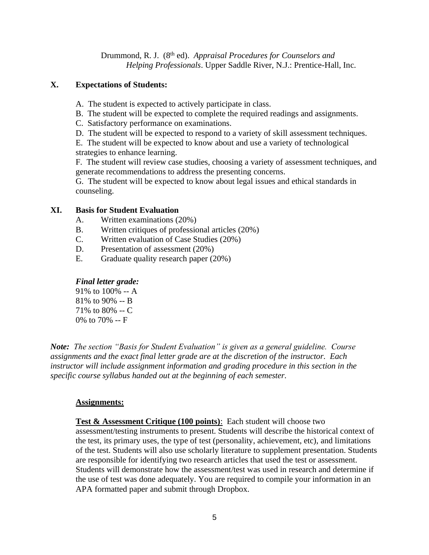Drummond, R. J. (8<sup>th</sup> ed). *Appraisal Procedures for Counselors and Helping Professionals*. Upper Saddle River, N.J.: Prentice-Hall, Inc.

### **X. Expectations of Students:**

- A. The student is expected to actively participate in class.
- B. The student will be expected to complete the required readings and assignments.
- C. Satisfactory performance on examinations.
- D. The student will be expected to respond to a variety of skill assessment techniques.

E. The student will be expected to know about and use a variety of technological strategies to enhance learning.

F. The student will review case studies, choosing a variety of assessment techniques, and generate recommendations to address the presenting concerns.

G. The student will be expected to know about legal issues and ethical standards in counseling.

### **XI. Basis for Student Evaluation**

- A. Written examinations (20%)
- B. Written critiques of professional articles (20%)
- C. Written evaluation of Case Studies (20%)
- D. Presentation of assessment (20%)
- E. Graduate quality research paper (20%)

# *Final letter grade:*

91% to 100% -- A 81% to 90% -- B 71% to 80% -- C 0% to 70% -- F

*Note: The section "Basis for Student Evaluation" is given as a general guideline. Course assignments and the exact final letter grade are at the discretion of the instructor. Each instructor will include assignment information and grading procedure in this section in the specific course syllabus handed out at the beginning of each semester.*

### **Assignments:**

**Test & Assessment Critique (100 points)**: Each student will choose two assessment/testing instruments to present. Students will describe the historical context of the test, its primary uses, the type of test (personality, achievement, etc), and limitations of the test. Students will also use scholarly literature to supplement presentation. Students are responsible for identifying two research articles that used the test or assessment. Students will demonstrate how the assessment/test was used in research and determine if the use of test was done adequately. You are required to compile your information in an APA formatted paper and submit through Dropbox.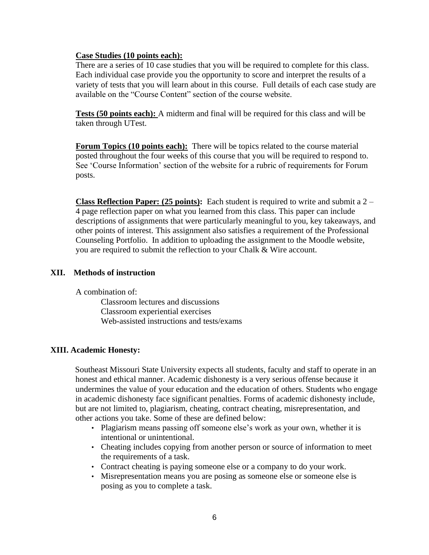#### **Case Studies (10 points each):**

There are a series of 10 case studies that you will be required to complete for this class. Each individual case provide you the opportunity to score and interpret the results of a variety of tests that you will learn about in this course. Full details of each case study are available on the "Course Content" section of the course website.

**Tests (50 points each):** A midterm and final will be required for this class and will be taken through UTest.

**Forum Topics (10 points each):** There will be topics related to the course material posted throughout the four weeks of this course that you will be required to respond to. See 'Course Information' section of the website for a rubric of requirements for Forum posts.

**Class Reflection Paper: (25 points):** Each student is required to write and submit a 2 – 4 page reflection paper on what you learned from this class. This paper can include descriptions of assignments that were particularly meaningful to you, key takeaways, and other points of interest. This assignment also satisfies a requirement of the Professional Counseling Portfolio. In addition to uploading the assignment to the Moodle website, you are required to submit the reflection to your Chalk & Wire account.

### **XII. Methods of instruction**

A combination of:

Classroom lectures and discussions Classroom experiential exercises Web-assisted instructions and tests/exams

### **XIII. Academic Honesty:**

Southeast Missouri State University expects all students, faculty and staff to operate in an honest and ethical manner. Academic dishonesty is a very serious offense because it undermines the value of your education and the education of others. Students who engage in academic dishonesty face significant penalties. Forms of academic dishonesty include, but are not limited to, plagiarism, cheating, contract cheating, misrepresentation, and other actions you take. Some of these are defined below:

- Plagiarism means passing off someone else's work as your own, whether it is intentional or unintentional.
- Cheating includes copying from another person or source of information to meet the requirements of a task.
- Contract cheating is paying someone else or a company to do your work.
- Misrepresentation means you are posing as someone else or someone else is posing as you to complete a task.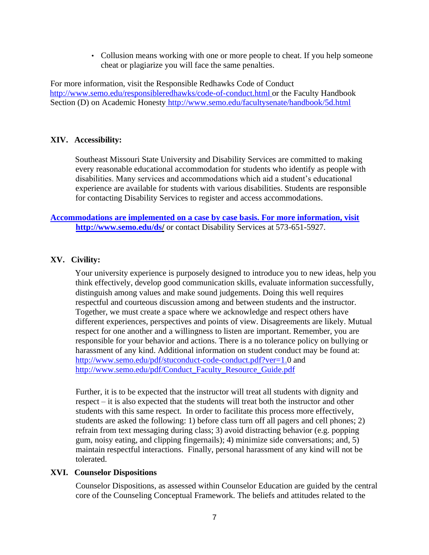• Collusion means working with one or more people to cheat. If you help someone cheat or plagiarize you will face the same penalties.

For more information, visit the Responsible Redhawks Code of Conduct http://www.semo.edu/responsibleredhawks/code-of-conduct.html or the Faculty Handbook Section (D) on Academic Honesty http://www.semo.edu/facultysenate/handbook/5d.html

## **XIV. Accessibility:**

Southeast Missouri State University and Disability Services are committed to making every reasonable educational accommodation for students who identify as people with disabilities. Many services and accommodations which aid a student's educational experience are available for students with various disabilities. Students are responsible for contacting Disability Services to register and access accommodations.

# **Accommodations are implemented on a case by case basis. For more information, visit http://www.semo.edu/ds/** or contact Disability Services at 573-651-5927.

## **XV. Civility:**

Your university experience is purposely designed to introduce you to new ideas, help you think effectively, develop good communication skills, evaluate information successfully, distinguish among values and make sound judgements. Doing this well requires respectful and courteous discussion among and between students and the instructor. Together, we must create a space where we acknowledge and respect others have different experiences, perspectives and points of view. Disagreements are likely. Mutual respect for one another and a willingness to listen are important. Remember, you are responsible for your behavior and actions. There is a no tolerance policy on bullying or harassment of any kind. Additional information on student conduct may be found at: http://www.semo.edu/pdf/stuconduct-code-conduct.pdf?ver=1.0 and http://www.semo.edu/pdf/Conduct\_Faculty\_Resource\_Guide.pdf

Further, it is to be expected that the instructor will treat all students with dignity and respect – it is also expected that the students will treat both the instructor and other students with this same respect. In order to facilitate this process more effectively, students are asked the following: 1) before class turn off all pagers and cell phones; 2) refrain from text messaging during class; 3) avoid distracting behavior (e.g. popping gum, noisy eating, and clipping fingernails); 4) minimize side conversations; and, 5) maintain respectful interactions. Finally, personal harassment of any kind will not be tolerated.

### **XVI. Counselor Dispositions**

Counselor Dispositions, as assessed within Counselor Education are guided by the central core of the Counseling Conceptual Framework. The beliefs and attitudes related to the